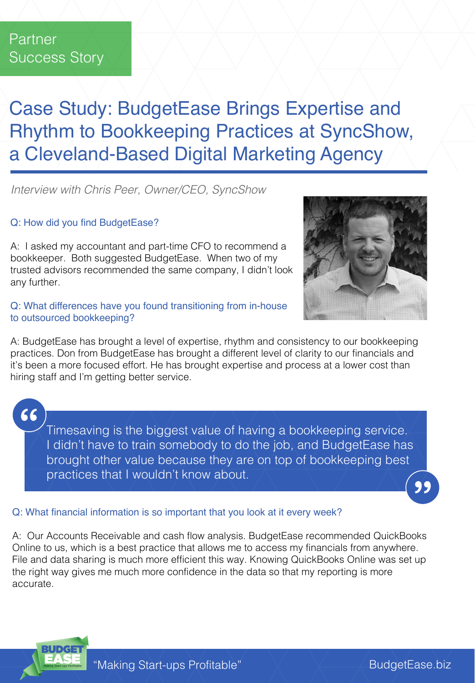# Case Study: BudgetEase Brings Expertise and Rhythm to Bookkeeping Practices at SyncShow, a Cleveland-Based Digital Marketing Agency

*Interview with Chris Peer, Owner/CEO, SyncShow*

## Q: How did you find BudgetEase?

A: I asked my accountant and part-time CFO to recommend a bookkeeper. Both suggested BudgetEase. When two of my trusted advisors recommended the same company, I didn't look any further.

#### Q: What differences have you found transitioning from in-house to outsourced bookkeeping?

A: BudgetEase has brought a level of expertise, rhythm and consistency to our bookkeeping practices. Don from BudgetEase has brought a different level of clarity to our financials and it's been a more focused effort. He has brought expertise and process at a lower cost than hiring staff and I'm getting better service.

"

Timesaving is the biggest value of having a bookkeeping service. I didn't have to train somebody to do the job, and BudgetEase has brought other value because they are on top of bookkeeping best practices that I wouldn't know about.

## Q: What financial information is so important that you look at it every week?

A: Our Accounts Receivable and cash flow analysis. BudgetEase recommended QuickBooks Online to us, which is a best practice that allows me to access my financials from anywhere. File and data sharing is much more efficient this way. Knowing QuickBooks Online was set up the right way gives me much more confidence in the data so that my reporting is more accurate.